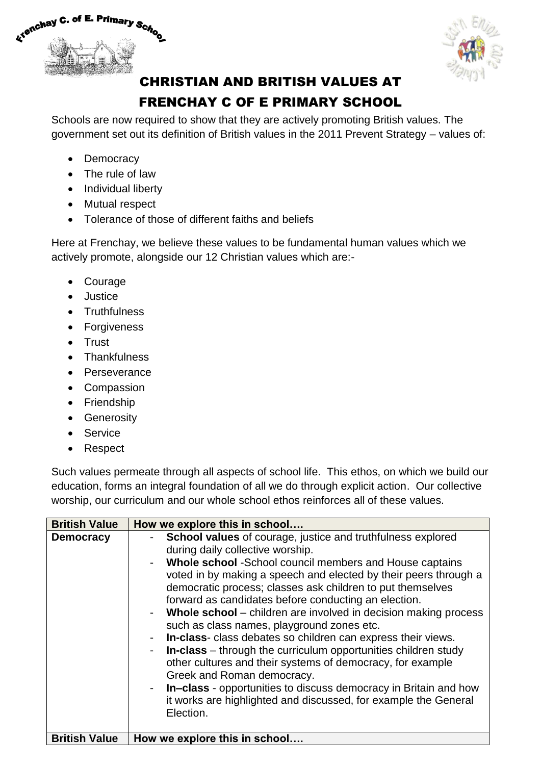



## CHRISTIAN AND BRITISH VALUES AT FRENCHAY C OF E PRIMARY SCHOOL

Schools are now required to show that they are actively promoting British values. The government set out its definition of British values in the 2011 Prevent Strategy – values of:

- Democracy
- The rule of law
- Individual liberty
- Mutual respect
- Tolerance of those of different faiths and beliefs

Here at Frenchay, we believe these values to be fundamental human values which we actively promote, alongside our 12 Christian values which are:-

- Courage
- Justice
- Truthfulness
- Forgiveness
- Trust
- Thankfulness
- Perseverance
- Compassion
- Friendship
- Generosity
- Service
- Respect

Such values permeate through all aspects of school life. This ethos, on which we build our education, forms an integral foundation of all we do through explicit action. Our collective worship, our curriculum and our whole school ethos reinforces all of these values.

| <b>British Value</b> | How we explore this in school                                                                                                                                                                                                                                                                                                                                                                                                                                                                                                                                                                                                                                                                                                                                                                                                                                                       |
|----------------------|-------------------------------------------------------------------------------------------------------------------------------------------------------------------------------------------------------------------------------------------------------------------------------------------------------------------------------------------------------------------------------------------------------------------------------------------------------------------------------------------------------------------------------------------------------------------------------------------------------------------------------------------------------------------------------------------------------------------------------------------------------------------------------------------------------------------------------------------------------------------------------------|
| <b>Democracy</b>     | School values of courage, justice and truthfulness explored<br>$\sim$ 100 $\pm$<br>during daily collective worship.<br>Whole school -School council members and House captains<br>voted in by making a speech and elected by their peers through a<br>democratic process; classes ask children to put themselves<br>forward as candidates before conducting an election.<br>- Whole school – children are involved in decision making process<br>such as class names, playground zones etc.<br>In-class-class debates so children can express their views.<br>-<br>In-class – through the curriculum opportunities children study<br>other cultures and their systems of democracy, for example<br>Greek and Roman democracy.<br>- In-class - opportunities to discuss democracy in Britain and how<br>it works are highlighted and discussed, for example the General<br>Election. |
| <b>British Value</b> | How we explore this in school                                                                                                                                                                                                                                                                                                                                                                                                                                                                                                                                                                                                                                                                                                                                                                                                                                                       |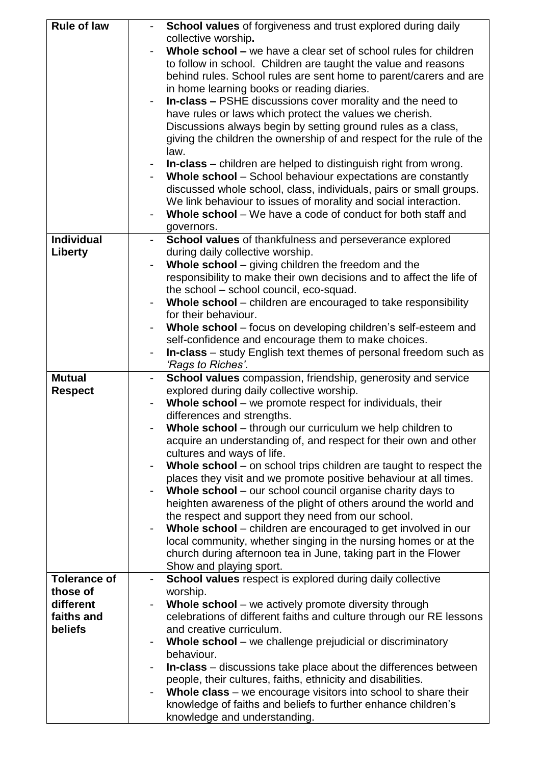| <b>Rule of law</b>  | School values of forgiveness and trust explored during daily                                  |
|---------------------|-----------------------------------------------------------------------------------------------|
|                     | collective worship.                                                                           |
|                     | Whole school – we have a clear set of school rules for children                               |
|                     | to follow in school. Children are taught the value and reasons                                |
|                     | behind rules. School rules are sent home to parent/carers and are                             |
|                     | in home learning books or reading diaries.                                                    |
|                     | In-class - PSHE discussions cover morality and the need to                                    |
|                     | have rules or laws which protect the values we cherish.                                       |
|                     | Discussions always begin by setting ground rules as a class,                                  |
|                     | giving the children the ownership of and respect for the rule of the                          |
|                     | law.                                                                                          |
|                     | <b>In-class</b> – children are helped to distinguish right from wrong.                        |
|                     | Whole school - School behaviour expectations are constantly                                   |
|                     | discussed whole school, class, individuals, pairs or small groups.                            |
|                     | We link behaviour to issues of morality and social interaction.                               |
|                     | Whole school – We have a code of conduct for both staff and                                   |
|                     | governors.                                                                                    |
| <b>Individual</b>   | School values of thankfulness and perseverance explored                                       |
| Liberty             | during daily collective worship.                                                              |
|                     | Whole school – giving children the freedom and the                                            |
|                     | responsibility to make their own decisions and to affect the life of                          |
|                     | the school - school council, eco-squad.                                                       |
|                     | Whole school – children are encouraged to take responsibility                                 |
|                     | for their behaviour.                                                                          |
|                     | Whole school – focus on developing children's self-esteem and                                 |
|                     | self-confidence and encourage them to make choices.                                           |
|                     | <b>In-class</b> – study English text themes of personal freedom such as                       |
|                     | 'Rags to Riches'.                                                                             |
|                     |                                                                                               |
|                     |                                                                                               |
| <b>Mutual</b>       | School values compassion, friendship, generosity and service                                  |
| <b>Respect</b>      | explored during daily collective worship.                                                     |
|                     | Whole school – we promote respect for individuals, their                                      |
|                     | differences and strengths.                                                                    |
|                     | Whole school - through our curriculum we help children to                                     |
|                     | acquire an understanding of, and respect for their own and other                              |
|                     | cultures and ways of life.                                                                    |
|                     | Whole school - on school trips children are taught to respect the                             |
|                     | places they visit and we promote positive behaviour at all times.                             |
|                     | Whole school – our school council organise charity days to                                    |
|                     | heighten awareness of the plight of others around the world and                               |
|                     | the respect and support they need from our school.                                            |
|                     | Whole school – children are encouraged to get involved in our                                 |
|                     | local community, whether singing in the nursing homes or at the                               |
|                     | church during afternoon tea in June, taking part in the Flower                                |
|                     | Show and playing sport.                                                                       |
| <b>Tolerance of</b> | School values respect is explored during daily collective                                     |
| those of            | worship.                                                                                      |
| different           | <b>Whole school</b> – we actively promote diversity through                                   |
| faiths and          | celebrations of different faiths and culture through our RE lessons                           |
| beliefs             | and creative curriculum.                                                                      |
|                     | Whole school - we challenge prejudicial or discriminatory                                     |
|                     | behaviour.                                                                                    |
|                     | In-class – discussions take place about the differences between                               |
|                     | people, their cultures, faiths, ethnicity and disabilities.                                   |
|                     | Whole class – we encourage visitors into school to share their                                |
|                     | knowledge of faiths and beliefs to further enhance children's<br>knowledge and understanding. |